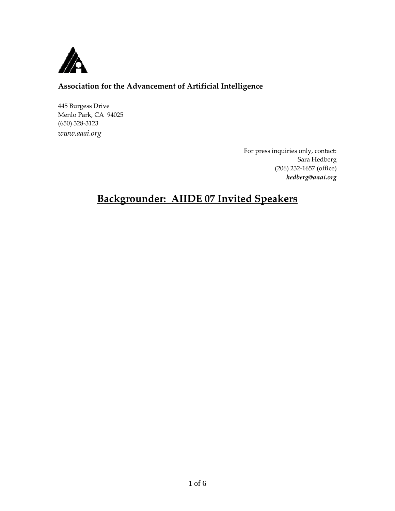

# **Association for the Advancement of Artificial Intelligence**

445 Burgess Drive Menlo Park, CA 94025 (650) 328-3123 *www.aaai.org*

> For press inquiries only, contact: Sara Hedberg (206) 232-1657 (office) *hedberg@aaai.org*

# **Backgrounder: AIIDE 07 Invited Speakers**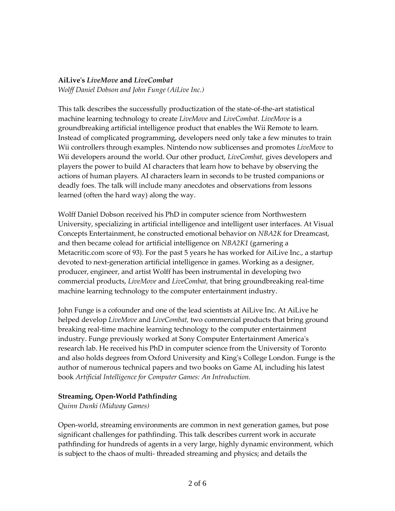### **AiLive's** *LiveMove* **and** *LiveCombat*

*Wolff Daniel Dobson and John Funge (AiLive Inc.)*

This talk describes the successfully productization of the state-of-the-art statistical machine learning technology to create *LiveMove* and *LiveCombat. LiveMove* is a groundbreaking artificial intelligence product that enables the Wii Remote to learn. Instead of complicated programming, developers need only take a few minutes to train Wii controllers through examples. Nintendo now sublicenses and promotes *LiveMove* to Wii developers around the world. Our other product, *LiveCombat,* gives developers and players the power to build AI characters that learn how to behave by observing the actions of human players. AI characters learn in seconds to be trusted companions or deadly foes. The talk will include many anecdotes and observations from lessons learned (often the hard way) along the way.

Wolff Daniel Dobson received his PhD in computer science from Northwestern University, specializing in artificial intelligence and intelligent user interfaces. At Visual Concepts Entertainment, he constructed emotional behavior on *NBA2K* for Dreamcast, and then became colead for artificial intelligence on *NBA2K1* (garnering a Metacritic.com score of 93). For the past 5 years he has worked for AiLive Inc., a startup devoted to next-generation artificial intelligence in games. Working as a designer, producer, engineer, and artist Wolff has been instrumental in developing two commercial products, *LiveMove* and *LiveCombat,* that bring groundbreaking real-time machine learning technology to the computer entertainment industry.

John Funge is a cofounder and one of the lead scientists at AiLive Inc. At AiLive he helped develop *LiveMove* and *LiveCombat,* two commercial products that bring ground breaking real-time machine learning technology to the computer entertainment industry. Funge previously worked at Sony Computer Entertainment America's research lab. He received his PhD in computer science from the University of Toronto and also holds degrees from Oxford University and King's College London. Funge is the author of numerous technical papers and two books on Game AI, including his latest book *Artificial Intelligence for Computer Games: An Introduction.*

# **Streaming, Open-World Pathfinding**

*Quinn Dunki (Midway Games)*

Open-world, streaming environments are common in next generation games, but pose significant challenges for pathfinding. This talk describes current work in accurate pathfinding for hundreds of agents in a very large, highly dynamic environment, which is subject to the chaos of multi- threaded streaming and physics; and details the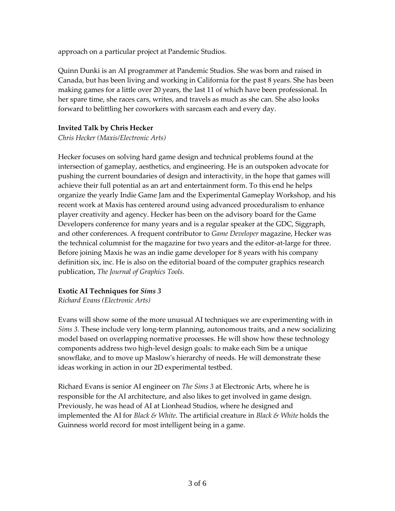approach on a particular project at Pandemic Studios.

Quinn Dunki is an AI programmer at Pandemic Studios. She was born and raised in Canada, but has been living and working in California for the past 8 years. She has been making games for a little over 20 years, the last 11 of which have been professional. In her spare time, she races cars, writes, and travels as much as she can. She also looks forward to belittling her coworkers with sarcasm each and every day.

## **Invited Talk by Chris Hecker**

*Chris Hecker (Maxis/Electronic Arts)*

Hecker focuses on solving hard game design and technical problems found at the intersection of gameplay, aesthetics, and engineering. He is an outspoken advocate for pushing the current boundaries of design and interactivity, in the hope that games will achieve their full potential as an art and entertainment form. To this end he helps organize the yearly Indie Game Jam and the Experimental Gameplay Workshop, and his recent work at Maxis has centered around using advanced proceduralism to enhance player creativity and agency. Hecker has been on the advisory board for the Game Developers conference for many years and is a regular speaker at the GDC, Siggraph, and other conferences. A frequent contributor to *Game Developer* magazine, Hecker was the technical columnist for the magazine for two years and the editor-at-large for three. Before joining Maxis he was an indie game developer for 8 years with his company definition six, inc. He is also on the editorial board of the computer graphics research publication, *The Journal of Graphics Tools.*

# **Exotic AI Techniques for** *Sims 3*

*Richard Evans (Electronic Arts)*

Evans will show some of the more unusual AI techniques we are experimenting with in *Sims 3.* These include very long-term planning, autonomous traits, and a new socializing model based on overlapping normative processes. He will show how these technology components address two high-level design goals: to make each Sim be a unique snowflake, and to move up Maslow's hierarchy of needs. He will demonstrate these ideas working in action in our 2D experimental testbed.

Richard Evans is senior AI engineer on *The Sims 3* at Electronic Arts, where he is responsible for the AI architecture, and also likes to get involved in game design. Previously, he was head of AI at Lionhead Studios, where he designed and implemented the AI for *Black & White.* The artificial creature in *Black & White* holds the Guinness world record for most intelligent being in a game.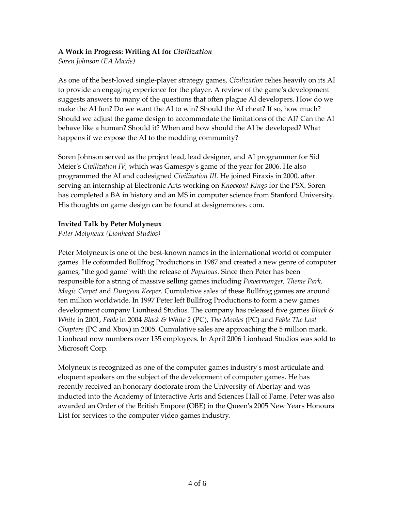# **A Work in Progress: Writing AI for** *Civilization*

*Soren Johnson (EA Maxis)*

As one of the best-loved single-player strategy games, *Civilization* relies heavily on its AI to provide an engaging experience for the player. A review of the game's development suggests answers to many of the questions that often plague AI developers. How do we make the AI fun? Do we want the AI to win? Should the AI cheat? If so, how much? Should we adjust the game design to accommodate the limitations of the AI? Can the AI behave like a human? Should it? When and how should the AI be developed? What happens if we expose the AI to the modding community?

Soren Johnson served as the project lead, lead designer, and AI programmer for Sid Meier's *Civilization IV,* which was Gamespy's game of the year for 2006. He also programmed the AI and codesigned *Civilization III.* He joined Firaxis in 2000, after serving an internship at Electronic Arts working on *Knockout Kings* for the PSX. Soren has completed a BA in history and an MS in computer science from Stanford University. His thoughts on game design can be found at designernotes. com.

### **Invited Talk by Peter Molyneux**

*Peter Molyneux (Lionhead Studios)*

Peter Molyneux is one of the best-known names in the international world of computer games. He cofounded Bullfrog Productions in 1987 and created a new genre of computer games, "the god game" with the release of *Populous.* Since then Peter has been responsible for a string of massive selling games including *Powermonger, Theme Park, Magic Carpet* and *Dungeon Keeper.* Cumulative sales of these Bullfrog games are around ten million worldwide. In 1997 Peter left Bullfrog Productions to form a new games development company Lionhead Studios. The company has released five games *Black & White* in 2001, *Fable* in 2004 *Black & White 2* (PC), *The Movies* (PC) and *Fable The Lost Chapters* (PC and Xbox) in 2005. Cumulative sales are approaching the 5 million mark. Lionhead now numbers over 135 employees. In April 2006 Lionhead Studios was sold to Microsoft Corp.

Molyneux is recognized as one of the computer games industry's most articulate and eloquent speakers on the subject of the development of computer games. He has recently received an honorary doctorate from the University of Abertay and was inducted into the Academy of Interactive Arts and Sciences Hall of Fame. Peter was also awarded an Order of the British Empore (OBE) in the Queen's 2005 New Years Honours List for services to the computer video games industry.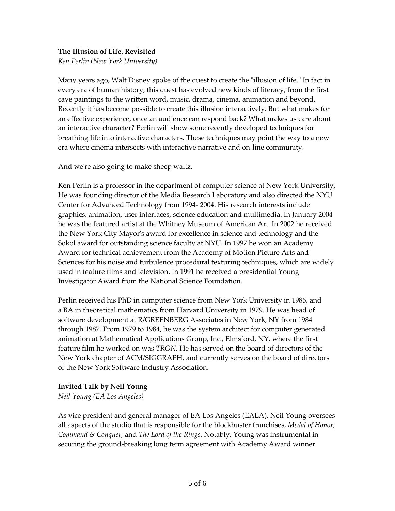### **The Illusion of Life, Revisited**

*Ken Perlin (New York University)*

Many years ago, Walt Disney spoke of the quest to create the "illusion of life." In fact in every era of human history, this quest has evolved new kinds of literacy, from the first cave paintings to the written word, music, drama, cinema, animation and beyond. Recently it has become possible to create this illusion interactively. But what makes for an effective experience, once an audience can respond back? What makes us care about an interactive character? Perlin will show some recently developed techniques for breathing life into interactive characters. These techniques may point the way to a new era where cinema intersects with interactive narrative and on-line community.

And we're also going to make sheep waltz.

Ken Perlin is a professor in the department of computer science at New York University, He was founding director of the Media Research Laboratory and also directed the NYU Center for Advanced Technology from 1994- 2004. His research interests include graphics, animation, user interfaces, science education and multimedia. In January 2004 he was the featured artist at the Whitney Museum of American Art. In 2002 he received the New York City Mayor's award for excellence in science and technology and the Sokol award for outstanding science faculty at NYU. In 1997 he won an Academy Award for technical achievement from the Academy of Motion Picture Arts and Sciences for his noise and turbulence procedural texturing techniques, which are widely used in feature films and television. In 1991 he received a presidential Young Investigator Award from the National Science Foundation.

Perlin received his PhD in computer science from New York University in 1986, and a BA in theoretical mathematics from Harvard University in 1979. He was head of software development at R/GREENBERG Associates in New York, NY from 1984 through 1987. From 1979 to 1984, he was the system architect for computer generated animation at Mathematical Applications Group, Inc., Elmsford, NY, where the first feature film he worked on was *TRON.* He has served on the board of directors of the New York chapter of ACM/SIGGRAPH, and currently serves on the board of directors of the New York Software Industry Association.

#### **Invited Talk by Neil Young**

*Neil Young (EA Los Angeles)*

As vice president and general manager of EA Los Angeles (EALA), Neil Young oversees all aspects of the studio that is responsible for the blockbuster franchises, *Medal of Honor, Command & Conquer,* and *The Lord of the Rings.* Notably, Young was instrumental in securing the ground-breaking long term agreement with Academy Award winner